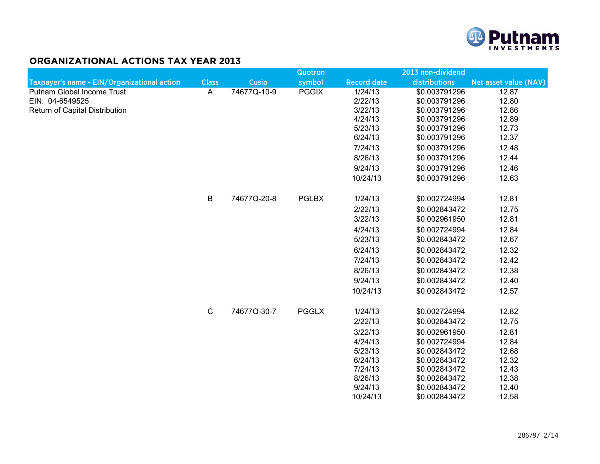

## **ORGANIZATIONAL ACTIONS TAX YEAR 2013**

|                                             |              |             | <b>Quotron</b> |                    | 2013 non-dividend              |                       |  |
|---------------------------------------------|--------------|-------------|----------------|--------------------|--------------------------------|-----------------------|--|
| Taxpayer's name - EIN/Organizational action | <b>Class</b> | Cusip       | symbol         | <b>Record date</b> | distributions                  | Net asset value (NAV) |  |
| <b>Putnam Global Income Trust</b>           | $\mathsf{A}$ | 74677Q-10-9 | <b>PGGIX</b>   | 1/24/13            | \$0.003791296                  | 12.87                 |  |
| EIN: 04-6549525                             |              |             |                | 2/22/13            | \$0.003791296                  | 12.80                 |  |
| Return of Capital Distribution              |              |             |                | 3/22/13            | \$0.003791296                  | 12.86                 |  |
|                                             |              |             |                | 4/24/13            | \$0.003791296                  | 12.89                 |  |
|                                             |              |             |                | 5/23/13<br>6/24/13 | \$0.003791296<br>\$0.003791296 | 12.73<br>12.37        |  |
|                                             |              |             |                |                    |                                |                       |  |
|                                             |              |             |                | 7/24/13            | \$0.003791296                  | 12.48                 |  |
|                                             |              |             |                | 8/26/13            | \$0.003791296                  | 12.44                 |  |
|                                             |              |             |                | 9/24/13            | \$0.003791296                  | 12.46                 |  |
|                                             |              |             |                | 10/24/13           | \$0.003791296                  | 12.63                 |  |
|                                             | B            | 74677Q-20-8 | <b>PGLBX</b>   | 1/24/13            | \$0.002724994                  | 12.81                 |  |
|                                             |              |             |                | 2/22/13            | \$0.002843472                  | 12.75                 |  |
|                                             |              |             |                | 3/22/13            | \$0.002961950                  | 12.81                 |  |
|                                             |              |             |                | 4/24/13            | \$0.002724994                  | 12.84                 |  |
|                                             |              |             |                | 5/23/13            | \$0.002843472                  | 12.67                 |  |
|                                             |              |             |                | 6/24/13            | \$0.002843472                  | 12.32                 |  |
|                                             |              |             |                | 7/24/13            | \$0.002843472                  | 12.42                 |  |
|                                             |              |             |                | 8/26/13            | \$0.002843472                  | 12.38                 |  |
|                                             |              |             |                | 9/24/13            | \$0.002843472                  | 12.40                 |  |
|                                             |              |             |                | 10/24/13           | \$0.002843472                  | 12.57                 |  |
|                                             | $\mathbf C$  | 74677Q-30-7 | <b>PGGLX</b>   | 1/24/13            | \$0.002724994                  | 12.82                 |  |
|                                             |              |             |                | 2/22/13            | \$0.002843472                  | 12.75                 |  |
|                                             |              |             |                | 3/22/13            | \$0.002961950                  | 12.81                 |  |
|                                             |              |             |                | 4/24/13            | \$0.002724994                  | 12.84                 |  |
|                                             |              |             |                | 5/23/13            | \$0.002843472                  | 12.68                 |  |
|                                             |              |             |                | 6/24/13            | \$0.002843472                  | 12.32                 |  |
|                                             |              |             |                | 7/24/13            | \$0.002843472                  | 12.43                 |  |
|                                             |              |             |                | 8/26/13            | \$0.002843472                  | 12.38                 |  |
|                                             |              |             |                | 9/24/13            | \$0.002843472                  | 12.40                 |  |
|                                             |              |             |                | 10/24/13           | \$0.002843472                  | 12.58                 |  |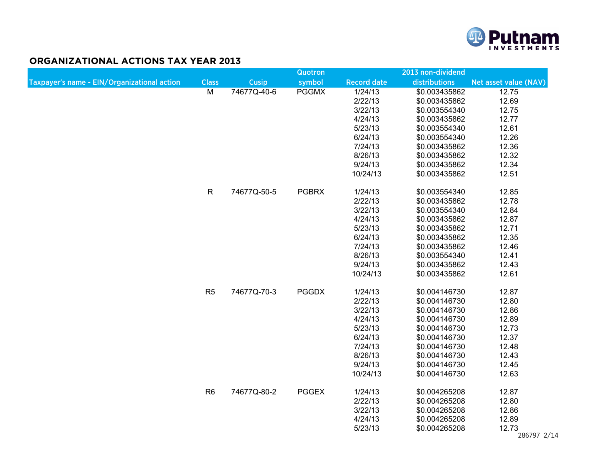

## **ORGANIZATIONAL ACTIONS TAX YEAR 2013**

|                                             |                |             | Quotron      |                    | 2013 non-dividend |                       |  |
|---------------------------------------------|----------------|-------------|--------------|--------------------|-------------------|-----------------------|--|
| Taxpayer's name - EIN/Organizational action | <b>Class</b>   | Cusip       | symbol       | <b>Record date</b> | distributions     | Net asset value (NAV) |  |
|                                             | $\overline{M}$ | 74677Q-40-6 | <b>PGGMX</b> | 1/24/13            | \$0.003435862     | 12.75                 |  |
|                                             |                |             |              | 2/22/13            | \$0.003435862     | 12.69                 |  |
|                                             |                |             |              | 3/22/13            | \$0.003554340     | 12.75                 |  |
|                                             |                |             |              | 4/24/13            | \$0.003435862     | 12.77                 |  |
|                                             |                |             |              | 5/23/13            | \$0.003554340     | 12.61                 |  |
|                                             |                |             |              | 6/24/13            | \$0.003554340     | 12.26                 |  |
|                                             |                |             |              | 7/24/13            | \$0.003435862     | 12.36                 |  |
|                                             |                |             |              | 8/26/13            | \$0.003435862     | 12.32                 |  |
|                                             |                |             |              | 9/24/13            | \$0.003435862     | 12.34                 |  |
|                                             |                |             |              | 10/24/13           | \$0.003435862     | 12.51                 |  |
|                                             | $\mathsf{R}$   | 74677Q-50-5 | <b>PGBRX</b> | 1/24/13            | \$0.003554340     | 12.85                 |  |
|                                             |                |             |              | 2/22/13            | \$0.003435862     | 12.78                 |  |
|                                             |                |             |              | 3/22/13            | \$0.003554340     | 12.84                 |  |
|                                             |                |             |              | 4/24/13            | \$0.003435862     | 12.87                 |  |
|                                             |                |             |              | 5/23/13            | \$0.003435862     | 12.71                 |  |
|                                             |                |             |              | 6/24/13            | \$0.003435862     | 12.35                 |  |
|                                             |                |             |              | 7/24/13            | \$0.003435862     | 12.46                 |  |
|                                             |                |             |              | 8/26/13            | \$0.003554340     | 12.41                 |  |
|                                             |                |             |              | 9/24/13            | \$0.003435862     | 12.43                 |  |
|                                             |                |             |              | 10/24/13           | \$0.003435862     | 12.61                 |  |
|                                             | R <sub>5</sub> | 74677Q-70-3 | <b>PGGDX</b> | 1/24/13            | \$0.004146730     | 12.87                 |  |
|                                             |                |             |              | 2/22/13            | \$0.004146730     | 12.80                 |  |
|                                             |                |             |              | 3/22/13            | \$0.004146730     | 12.86                 |  |
|                                             |                |             |              | 4/24/13            | \$0.004146730     | 12.89                 |  |
|                                             |                |             |              | 5/23/13            | \$0.004146730     | 12.73                 |  |
|                                             |                |             |              | 6/24/13            | \$0.004146730     | 12.37                 |  |
|                                             |                |             |              | 7/24/13            | \$0.004146730     | 12.48                 |  |
|                                             |                |             |              | 8/26/13            | \$0.004146730     | 12.43                 |  |
|                                             |                |             |              | 9/24/13            | \$0.004146730     | 12.45                 |  |
|                                             |                |             |              | 10/24/13           | \$0.004146730     | 12.63                 |  |
|                                             | R <sub>6</sub> | 74677Q-80-2 | <b>PGGEX</b> | 1/24/13            | \$0.004265208     | 12.87                 |  |
|                                             |                |             |              | 2/22/13            | \$0.004265208     | 12.80                 |  |
|                                             |                |             |              | 3/22/13            | \$0.004265208     | 12.86                 |  |
|                                             |                |             |              | 4/24/13            | \$0.004265208     | 12.89                 |  |
|                                             |                |             |              | 5/23/13            | \$0.004265208     | 12.73                 |  |
|                                             |                |             |              |                    |                   | 286797 2/14           |  |